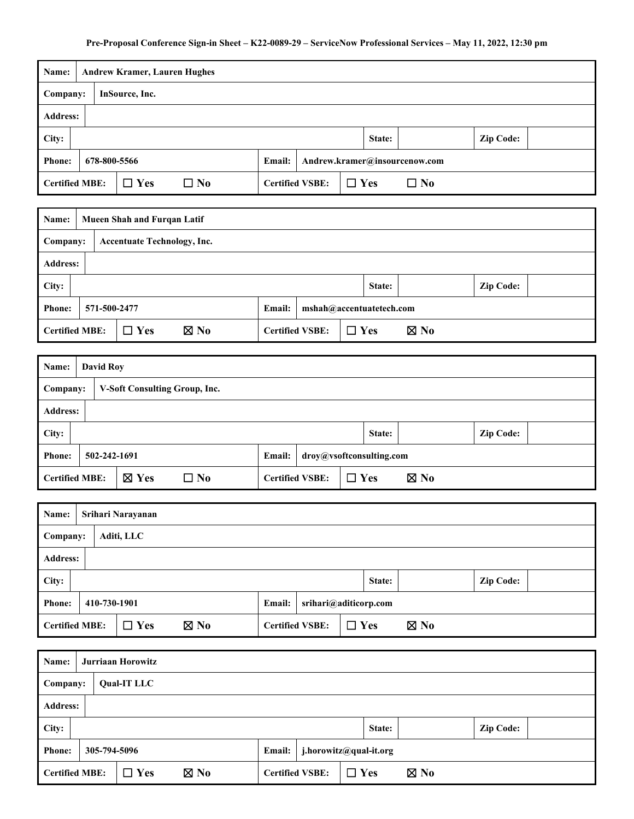| Name:           |                                                                                                             | <b>Andrew Kramer, Lauren Hughes</b> |  |  |  |  |  |  |  |  |  |
|-----------------|-------------------------------------------------------------------------------------------------------------|-------------------------------------|--|--|--|--|--|--|--|--|--|
| Company:        |                                                                                                             | InSource, Inc.                      |  |  |  |  |  |  |  |  |  |
| <b>Address:</b> |                                                                                                             |                                     |  |  |  |  |  |  |  |  |  |
| City:           | <b>Zip Code:</b><br>State:                                                                                  |                                     |  |  |  |  |  |  |  |  |  |
| <b>Phone:</b>   | 678-800-5566<br>Andrew.kramer@insourcenow.com<br><b>Email:</b>                                              |                                     |  |  |  |  |  |  |  |  |  |
|                 | <b>Certified MBE:</b><br><b>Certified VSBE:</b><br>$\Box$ Yes<br>$\square$ No<br>$\Box$ Yes<br>$\square$ No |                                     |  |  |  |  |  |  |  |  |  |

| Name:           |                                                                                                                    | <b>Mueen Shah and Furqan Latif</b> |  |  |  |  |  |  |  |  |
|-----------------|--------------------------------------------------------------------------------------------------------------------|------------------------------------|--|--|--|--|--|--|--|--|
| Company:        |                                                                                                                    | <b>Accentuate Technology, Inc.</b> |  |  |  |  |  |  |  |  |
| <b>Address:</b> |                                                                                                                    |                                    |  |  |  |  |  |  |  |  |
| City:           | <b>Zip Code:</b><br>State:                                                                                         |                                    |  |  |  |  |  |  |  |  |
| <b>Phone:</b>   | 571-500-2477<br>mshah@accentuatetech.com<br><b>Email:</b>                                                          |                                    |  |  |  |  |  |  |  |  |
|                 | <b>Certified MBE:</b><br><b>Certified VSBE:</b><br>$\boxtimes$ No<br>$\boxtimes$ No<br>$\Box$ Yes<br>$\square$ Yes |                                    |  |  |  |  |  |  |  |  |

| Name:           |                                                                                                                    | <b>David Roy</b> |                               |  |  |  |  |  |  |  |  |
|-----------------|--------------------------------------------------------------------------------------------------------------------|------------------|-------------------------------|--|--|--|--|--|--|--|--|
| Company:        |                                                                                                                    |                  | V-Soft Consulting Group, Inc. |  |  |  |  |  |  |  |  |
| <b>Address:</b> |                                                                                                                    |                  |                               |  |  |  |  |  |  |  |  |
| City:           | <b>Zip Code:</b><br>State:                                                                                         |                  |                               |  |  |  |  |  |  |  |  |
| <b>Phone:</b>   | 502-242-1691<br>droy@vsoftconsulting.com<br><b>Email:</b>                                                          |                  |                               |  |  |  |  |  |  |  |  |
|                 | $\boxtimes$ Yes<br>$\Box$ Yes<br>$\boxtimes$ No<br>$\square$ No<br><b>Certified MBE:</b><br><b>Certified VSBE:</b> |                  |                               |  |  |  |  |  |  |  |  |

| Name:           |                                                                                                                 | Srihari Narayanan |  |  |  |  |  |  |  |  |
|-----------------|-----------------------------------------------------------------------------------------------------------------|-------------------|--|--|--|--|--|--|--|--|
| Company:        |                                                                                                                 | Aditi, LLC        |  |  |  |  |  |  |  |  |
| <b>Address:</b> |                                                                                                                 |                   |  |  |  |  |  |  |  |  |
| City:           | <b>Zip Code:</b><br>State:                                                                                      |                   |  |  |  |  |  |  |  |  |
| <b>Phone:</b>   | 410-730-1901<br>Email:<br>srihari@aditicorp.com                                                                 |                   |  |  |  |  |  |  |  |  |
|                 | $\boxtimes$ No<br><b>Certified MBE:</b><br>$\boxtimes$ No<br>$\Box$ Yes<br><b>Certified VSBE:</b><br>$\Box$ Yes |                   |  |  |  |  |  |  |  |  |

| Name:           |                                                                                                                 |  | Jurriaan Horowitz  |  |  |  |  |  |  |  |  |
|-----------------|-----------------------------------------------------------------------------------------------------------------|--|--------------------|--|--|--|--|--|--|--|--|
| Company:        |                                                                                                                 |  | <b>Qual-IT LLC</b> |  |  |  |  |  |  |  |  |
| <b>Address:</b> |                                                                                                                 |  |                    |  |  |  |  |  |  |  |  |
| City:           | <b>Zip Code:</b><br>State:                                                                                      |  |                    |  |  |  |  |  |  |  |  |
| <b>Phone:</b>   | 305-794-5096<br>j.horowitz@qual-it.org<br><b>Email:</b>                                                         |  |                    |  |  |  |  |  |  |  |  |
|                 | <b>Certified MBE:</b><br><b>Certified VSBE:</b><br>$\boxtimes$ No<br>$\boxtimes$ No<br>$\Box$ Yes<br>$\Box$ Yes |  |                    |  |  |  |  |  |  |  |  |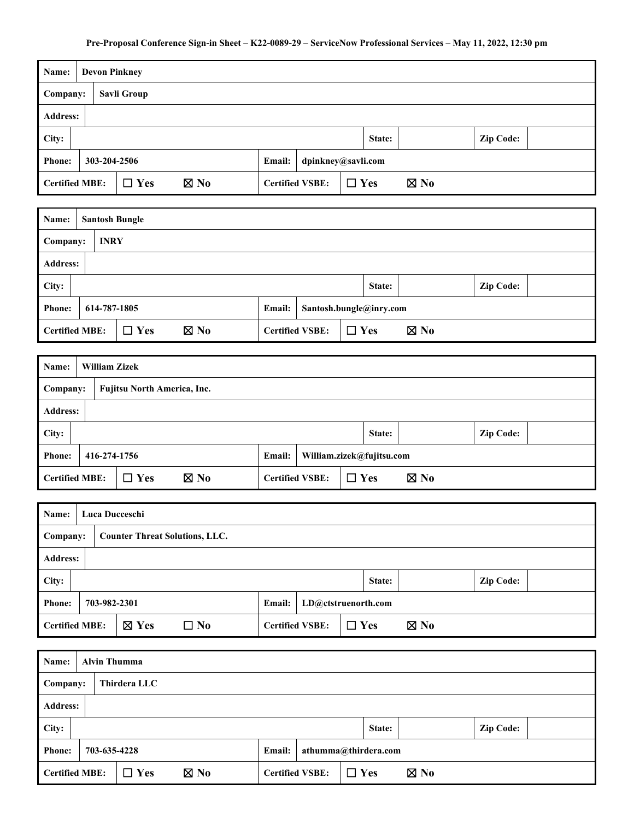| Name:                 |                                              |  | <b>Devon Pinkney</b> |                |  |                        |            |        |                |                  |
|-----------------------|----------------------------------------------|--|----------------------|----------------|--|------------------------|------------|--------|----------------|------------------|
| Company:              |                                              |  | Savli Group          |                |  |                        |            |        |                |                  |
| <b>Address:</b>       |                                              |  |                      |                |  |                        |            |        |                |                  |
| City:                 |                                              |  |                      |                |  |                        |            | State: |                | <b>Zip Code:</b> |
| <b>Phone:</b>         | 303-204-2506<br>dpinkney@savli.com<br>Email: |  |                      |                |  |                        |            |        |                |                  |
| <b>Certified MBE:</b> |                                              |  | $\Box$ Yes           | $\boxtimes$ No |  | <b>Certified VSBE:</b> | $\Box$ Yes |        | $\boxtimes$ No |                  |

| Name:           |                                                                                                                 | <b>Santosh Bungle</b> |  |  |  |  |  |  |  |  |  |
|-----------------|-----------------------------------------------------------------------------------------------------------------|-----------------------|--|--|--|--|--|--|--|--|--|
| Company:        |                                                                                                                 | <b>INRY</b>           |  |  |  |  |  |  |  |  |  |
| <b>Address:</b> |                                                                                                                 |                       |  |  |  |  |  |  |  |  |  |
| City:           | <b>Zip Code:</b><br>State:                                                                                      |                       |  |  |  |  |  |  |  |  |  |
| <b>Phone:</b>   | 614-787-1805<br>Email:<br>Santosh.bungle@inry.com                                                               |                       |  |  |  |  |  |  |  |  |  |
|                 | <b>Certified MBE:</b><br>$\Box$ Yes<br>$\boxtimes$ No<br>$\boxtimes$ No<br><b>Certified VSBE:</b><br>$\Box$ Yes |                       |  |  |  |  |  |  |  |  |  |

| Name:           |                                                                                                                 |  | <b>William Zizek</b>               |  |  |  |  |  |  |  |  |
|-----------------|-----------------------------------------------------------------------------------------------------------------|--|------------------------------------|--|--|--|--|--|--|--|--|
| Company:        |                                                                                                                 |  | <b>Fujitsu North America, Inc.</b> |  |  |  |  |  |  |  |  |
| <b>Address:</b> |                                                                                                                 |  |                                    |  |  |  |  |  |  |  |  |
| City:           | <b>Zip Code:</b><br>State:                                                                                      |  |                                    |  |  |  |  |  |  |  |  |
| <b>Phone:</b>   | 416-274-1756<br>William.zizek@fujitsu.com<br><b>Email:</b>                                                      |  |                                    |  |  |  |  |  |  |  |  |
|                 | $\boxtimes$ No<br>$\boxtimes$ No<br><b>Certified MBE:</b><br>$\Box$ Yes<br><b>Certified VSBE:</b><br>$\Box$ Yes |  |                                    |  |  |  |  |  |  |  |  |

| Name:           |                                                                                                                    | Luca Ducceschi                        |  |  |  |  |  |  |  |  |
|-----------------|--------------------------------------------------------------------------------------------------------------------|---------------------------------------|--|--|--|--|--|--|--|--|
| Company:        |                                                                                                                    | <b>Counter Threat Solutions, LLC.</b> |  |  |  |  |  |  |  |  |
| <b>Address:</b> |                                                                                                                    |                                       |  |  |  |  |  |  |  |  |
| City:           | <b>Zip Code:</b><br>State:                                                                                         |                                       |  |  |  |  |  |  |  |  |
| <b>Phone:</b>   | 703-982-2301<br><b>Email:</b><br>LD@ctstruenorth.com                                                               |                                       |  |  |  |  |  |  |  |  |
|                 | $\boxtimes$ Yes<br>$\Box$ Yes<br><b>Certified MBE:</b><br><b>Certified VSBE:</b><br>$\boxtimes$ No<br>$\square$ No |                                       |  |  |  |  |  |  |  |  |

| Name:           |                                                                                                                 | <b>Alvin Thumma</b> |  |  |  |  |  |  |  |  |  |
|-----------------|-----------------------------------------------------------------------------------------------------------------|---------------------|--|--|--|--|--|--|--|--|--|
| Company:        |                                                                                                                 | Thirdera LLC        |  |  |  |  |  |  |  |  |  |
| <b>Address:</b> |                                                                                                                 |                     |  |  |  |  |  |  |  |  |  |
| City:           | <b>Zip Code:</b><br>State:                                                                                      |                     |  |  |  |  |  |  |  |  |  |
|                 | 703-635-4228<br>athumma@thirdera.com<br>Email:<br><b>Phone:</b>                                                 |                     |  |  |  |  |  |  |  |  |  |
|                 | <b>Certified MBE:</b><br>$\boxtimes$ No<br><b>Certified VSBE:</b><br>$\boxtimes$ No<br>$\Box$ Yes<br>$\Box$ Yes |                     |  |  |  |  |  |  |  |  |  |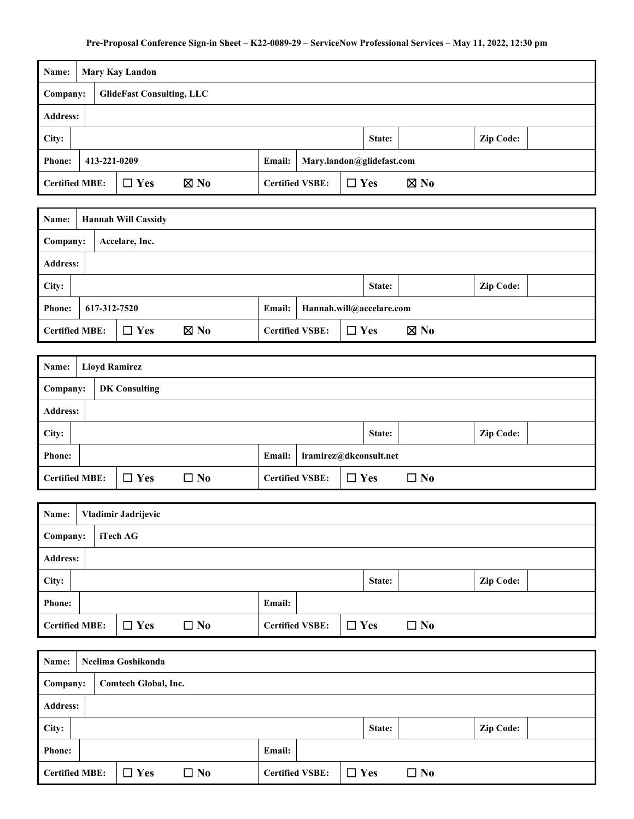| Name:                 | <b>Mary Kay Landon</b>                                     |                |  |                        |            |                |  |  |  |  |
|-----------------------|------------------------------------------------------------|----------------|--|------------------------|------------|----------------|--|--|--|--|
| Company:              | <b>GlideFast Consulting, LLC</b>                           |                |  |                        |            |                |  |  |  |  |
| <b>Address:</b>       |                                                            |                |  |                        |            |                |  |  |  |  |
| City:                 | <b>Zip Code:</b><br>State:                                 |                |  |                        |            |                |  |  |  |  |
| <b>Phone:</b>         | 413-221-0209<br>Mary.landon@glidefast.com<br><b>Email:</b> |                |  |                        |            |                |  |  |  |  |
| <b>Certified MBE:</b> | $\Box$ Yes                                                 | $\boxtimes$ No |  | <b>Certified VSBE:</b> | $\Box$ Yes | $\boxtimes$ No |  |  |  |  |

| Name:           |                                                                                                                 | <b>Hannah Will Cassidy</b> |  |  |  |  |  |  |  |  |  |
|-----------------|-----------------------------------------------------------------------------------------------------------------|----------------------------|--|--|--|--|--|--|--|--|--|
| Company:        |                                                                                                                 | Accelare, Inc.             |  |  |  |  |  |  |  |  |  |
| <b>Address:</b> |                                                                                                                 |                            |  |  |  |  |  |  |  |  |  |
| City:           | <b>Zip Code:</b><br>State:                                                                                      |                            |  |  |  |  |  |  |  |  |  |
| <b>Phone:</b>   | Hannah.will@accelare.com<br>617-312-7520<br><b>Email:</b>                                                       |                            |  |  |  |  |  |  |  |  |  |
|                 | <b>Certified MBE:</b><br><b>Certified VSBE:</b><br>$\Box$ Yes<br>$\boxtimes$ No<br>$\boxtimes$ No<br>$\Box$ Yes |                            |  |  |  |  |  |  |  |  |  |

| Name:                 |                                  | <b>Lloyd Ramirez</b> |            |              |  |                        |            |  |              |  |  |
|-----------------------|----------------------------------|----------------------|------------|--------------|--|------------------------|------------|--|--------------|--|--|
|                       | <b>DK Consulting</b><br>Company: |                      |            |              |  |                        |            |  |              |  |  |
|                       | <b>Address:</b>                  |                      |            |              |  |                        |            |  |              |  |  |
| City:                 | <b>Zip Code:</b><br>State:       |                      |            |              |  |                        |            |  |              |  |  |
| <b>Phone:</b>         | lramirez@dkconsult.net<br>Email: |                      |            |              |  |                        |            |  |              |  |  |
| <b>Certified MBE:</b> |                                  |                      | $\Box$ Yes | $\square$ No |  | <b>Certified VSBE:</b> | $\Box$ Yes |  | $\square$ No |  |  |

| Name:                 |                 | Vladimir Jadrijevic |              |                        |  |            |        |           |                  |  |  |
|-----------------------|-----------------|---------------------|--------------|------------------------|--|------------|--------|-----------|------------------|--|--|
| iTech AG<br>Company:  |                 |                     |              |                        |  |            |        |           |                  |  |  |
|                       | <b>Address:</b> |                     |              |                        |  |            |        |           |                  |  |  |
| City:                 |                 |                     |              |                        |  |            | State: |           | <b>Zip Code:</b> |  |  |
| <b>Phone:</b>         | Email:          |                     |              |                        |  |            |        |           |                  |  |  |
| <b>Certified MBE:</b> |                 | $\Box$ Yes          | $\square$ No | <b>Certified VSBE:</b> |  | $\Box$ Yes |        | $\Box$ No |                  |  |  |

| Name:                            | Neelima Goshikonda |  |            |              |                        |  |            |        |           |                  |  |
|----------------------------------|--------------------|--|------------|--------------|------------------------|--|------------|--------|-----------|------------------|--|
| Comtech Global, Inc.<br>Company: |                    |  |            |              |                        |  |            |        |           |                  |  |
|                                  | <b>Address:</b>    |  |            |              |                        |  |            |        |           |                  |  |
| City:                            |                    |  |            |              |                        |  |            | State: |           | <b>Zip Code:</b> |  |
| <b>Phone:</b>                    | Email:             |  |            |              |                        |  |            |        |           |                  |  |
| <b>Certified MBE:</b>            |                    |  | $\Box$ Yes | $\square$ No | <b>Certified VSBE:</b> |  | $\Box$ Yes |        | $\Box$ No |                  |  |